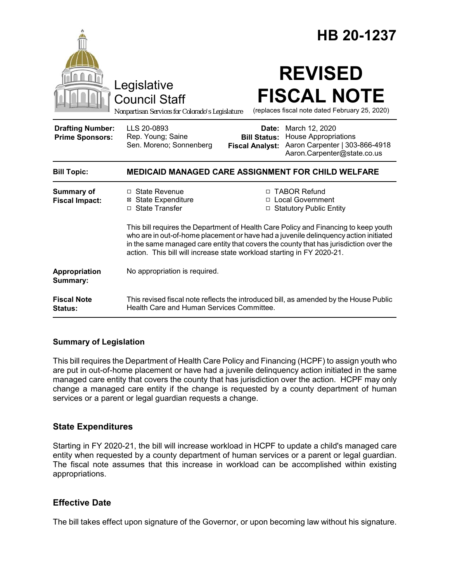|                                                   | Legislative<br><b>Council Staff</b><br>Nonpartisan Services for Colorado's Legislature                                                                                                                                                                                                                                                         | HB 20-1237<br><b>REVISED</b><br><b>FISCAL NOTE</b><br>(replaces fiscal note dated February 25, 2020)                                                                  |
|---------------------------------------------------|------------------------------------------------------------------------------------------------------------------------------------------------------------------------------------------------------------------------------------------------------------------------------------------------------------------------------------------------|-----------------------------------------------------------------------------------------------------------------------------------------------------------------------|
| <b>Drafting Number:</b><br><b>Prime Sponsors:</b> | LLS 20-0893<br>Rep. Young; Saine<br>Sen. Moreno; Sonnenberg                                                                                                                                                                                                                                                                                    | Date: March 12, 2020<br><b>House Appropriations</b><br><b>Bill Status:</b><br>Aaron Carpenter   303-866-4918<br><b>Fiscal Analyst:</b><br>Aaron.Carpenter@state.co.us |
| <b>Bill Topic:</b>                                | <b>MEDICAID MANAGED CARE ASSIGNMENT FOR CHILD WELFARE</b>                                                                                                                                                                                                                                                                                      |                                                                                                                                                                       |
| <b>Summary of</b><br><b>Fiscal Impact:</b>        | $\Box$ State Revenue<br><b>⊠</b> State Expenditure<br>□ State Transfer                                                                                                                                                                                                                                                                         | □ TABOR Refund<br>□ Local Government<br>□ Statutory Public Entity                                                                                                     |
|                                                   | This bill requires the Department of Health Care Policy and Financing to keep youth<br>who are in out-of-home placement or have had a juvenile delinguency action initiated<br>in the same managed care entity that covers the county that has jurisdiction over the<br>action. This bill will increase state workload starting in FY 2020-21. |                                                                                                                                                                       |
| Appropriation<br>Summary:                         | No appropriation is required.                                                                                                                                                                                                                                                                                                                  |                                                                                                                                                                       |
| <b>Fiscal Note</b><br><b>Status:</b>              | This revised fiscal note reflects the introduced bill, as amended by the House Public<br>Health Care and Human Services Committee.                                                                                                                                                                                                             |                                                                                                                                                                       |

## **Summary of Legislation**

This bill requires the Department of Health Care Policy and Financing (HCPF) to assign youth who are put in out-of-home placement or have had a juvenile delinquency action initiated in the same managed care entity that covers the county that has jurisdiction over the action. HCPF may only change a managed care entity if the change is requested by a county department of human services or a parent or legal guardian requests a change.

## **State Expenditures**

Starting in FY 2020-21, the bill will increase workload in HCPF to update a child's managed care entity when requested by a county department of human services or a parent or legal guardian. The fiscal note assumes that this increase in workload can be accomplished within existing appropriations.

## **Effective Date**

The bill takes effect upon signature of the Governor, or upon becoming law without his signature.